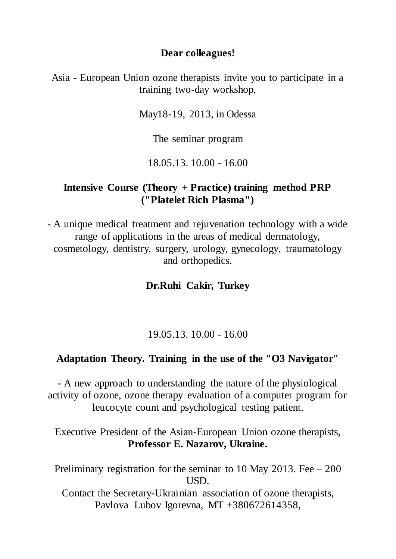### **Dear colleagues!**

Asia - European Union ozone therapists invite you to participate in a training two-day workshop,

May18-19, 2013, in Odessa

The seminar program

18.05.13. 10.00 - 16.00

### **Intensive Course (Theory + Practice) training method PRP ("Platelet Rich Plasma")**

- A unique medical treatment and rejuvenation technology with a wide range of applications in the areas of medical dermatology, cosmetology, dentistry, surgery, urology, gynecology, traumatology and orthopedics.

### **Dr.Ruhi Cakir, Turkey**

### 19.05.13. 10.00 - 16.00

### **Adaptation Theory. Training in the use of the "O3 Navigator"**

- A new approach to understanding the nature of the physiological activity of ozone, ozone therapy evaluation of a computer program for leucocyte count and psychological testing patient.

Executive President of the Asian-European Union ozone therapists, **Professor E. Nazarov, Ukraine.**

Preliminary registration for the seminar to 10 May 2013. Fee – 200 USD. Contact the Secretary-Ukrainian association of ozone therapists, Pavlova Lubov Igorevna, MT +380672614358,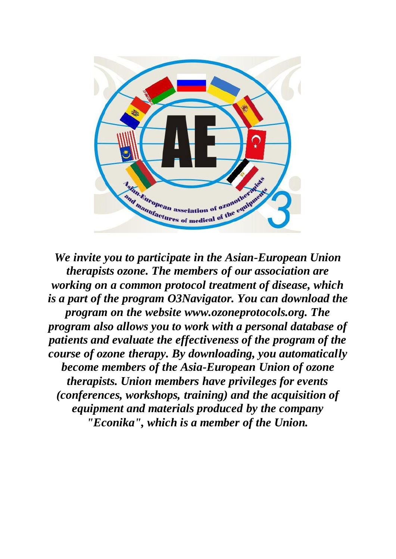

*We invite you to participate in the Asian-European Union therapists ozone. The members of our association are working on a common protocol treatment of disease, which is a part of the program O3Navigator. You can download the program on the website www.ozoneprotocols.org. The program also allows you to work with a personal database of patients and evaluate the effectiveness of the program of the course of ozone therapy. By downloading, you automatically become members of the Asia-European Union of ozone therapists. Union members have privileges for events (conferences, workshops, training) and the acquisition of equipment and materials produced by the company "Econika", which is a member of the Union.*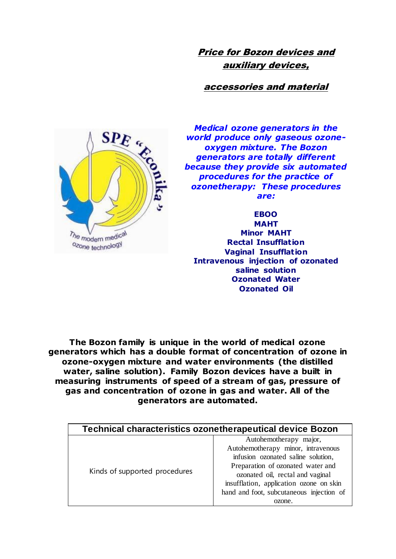Price for Bozon devices and auxiliary devices,

accessories and material



*Medical ozone generators in the world produce only gaseous ozoneoxygen mixture. The Bozon generators are totally different because they provide six automated procedures for the practice of ozonetherapy: These procedures are:*

**EBOO MAHT Minor MAHT Rectal Insufflation Vaginal Insufflation Intravenous injection of ozonated saline solution Ozonated Water Ozonated Oil**

**The Bozon family is unique in the world of medical ozone generators which has a double format of concentration of ozone in ozone-oxygen mixture and water environments (the distilled water, saline solution). Family Bozon devices have a built in measuring instruments of speed of a stream of gas, pressure of gas and concentration of ozone in gas and water. All of the generators are automated.**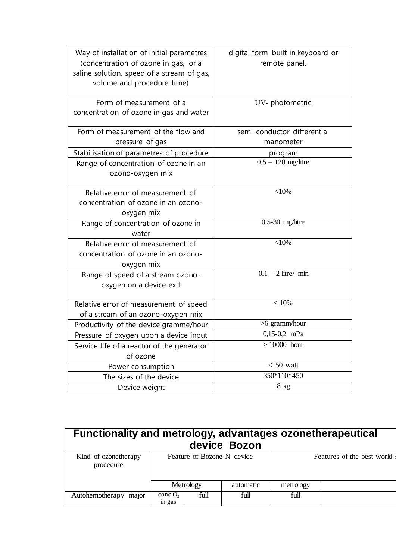| Way of installation of initial parametres<br>(concentration of ozone in gas, or a<br>saline solution, speed of a stream of gas,<br>volume and procedure time) | digital form built in keyboard or<br>remote panel. |
|---------------------------------------------------------------------------------------------------------------------------------------------------------------|----------------------------------------------------|
| Form of measurement of a<br>concentration of ozone in gas and water                                                                                           | UV-photometric                                     |
| Form of measurement of the flow and<br>pressure of gas                                                                                                        | semi-conductor differential<br>manometer           |
| Stabilisation of parametres of procedure                                                                                                                      | program                                            |
| Range of concentration of ozone in an<br>ozono-oxygen mix                                                                                                     | $0.5 - 120$ mg/litre                               |
| Relative error of measurement of<br>concentration of ozone in an ozono-<br>oxygen mix                                                                         | $<$ 10%                                            |
| Range of concentration of ozone in<br>water                                                                                                                   | $0.5-30$ mg/litre                                  |
| Relative error of measurement of<br>concentration of ozone in an ozono-<br>oxygen mix                                                                         | $<$ 10%                                            |
| Range of speed of a stream ozono-<br>oxygen on a device exit                                                                                                  | $0.\overline{1-2}$ litre/ min                      |
| Relative error of measurement of speed<br>of a stream of an ozono-oxygen mix                                                                                  | < 10%                                              |
| Productivity of the device gramme/hour                                                                                                                        | >6 gramm/hour                                      |
| Pressure of oxygen upon a device input                                                                                                                        | $0,15-0,2$ mPa                                     |
| Service life of a reactor of the generator                                                                                                                    | $>10000$ hour                                      |
| of ozone                                                                                                                                                      |                                                    |
| Power consumption                                                                                                                                             | $\overline{<}150$ watt                             |
| The sizes of the device                                                                                                                                       | 350*110*450                                        |
| Device weight                                                                                                                                                 | 8 kg                                               |

| Functionality and metrology, advantages ozonetherapeutical<br>device Bozon |                               |           |                            |           |  |  |  |
|----------------------------------------------------------------------------|-------------------------------|-----------|----------------------------|-----------|--|--|--|
| Kind of ozonetherapy<br>procedure                                          | Feature of Bozone-N device    |           | Features of the best world |           |  |  |  |
|                                                                            |                               | Metrology | automatic                  | metrology |  |  |  |
| Autohemotherapy major                                                      | conc.O <sub>3</sub><br>in gas | full      | full                       | full      |  |  |  |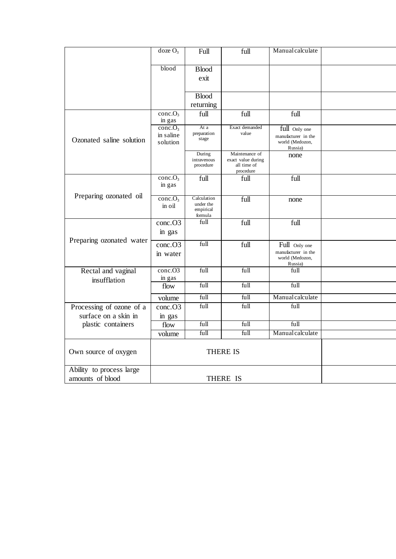|                          | doze $O_3$                    | Full                               | full                                                             | Manualcalculate            |  |
|--------------------------|-------------------------------|------------------------------------|------------------------------------------------------------------|----------------------------|--|
|                          | blood                         | <b>Blood</b>                       |                                                                  |                            |  |
|                          |                               | exit                               |                                                                  |                            |  |
|                          |                               | <b>Blood</b>                       |                                                                  |                            |  |
|                          |                               | returning                          |                                                                  |                            |  |
|                          | conc.O <sub>3</sub><br>in gas | full                               | full                                                             | full                       |  |
|                          | conc.O <sub>3</sub>           | At a<br>preparation                | Exact demanded<br>value                                          | full Only one              |  |
| Ozonated saline solution | in saline                     | stage                              |                                                                  | manufacturer in the        |  |
|                          | solution                      |                                    |                                                                  | world (Medozon,<br>Russia) |  |
|                          |                               | During<br>intravenous<br>procedure | Maintenance of<br>exact value during<br>all time of<br>procedure | none                       |  |
|                          | conc.O <sub>3</sub>           | full                               | full                                                             | full                       |  |
|                          | in gas                        |                                    |                                                                  |                            |  |
| Preparing ozonated oil   | conc.O <sub>3</sub>           | Calculation                        | full                                                             | none                       |  |
|                          | in oil                        | under the<br>empirical<br>formula  |                                                                  |                            |  |
|                          | conc.O3                       | full                               | full                                                             | full                       |  |
|                          | in gas                        |                                    |                                                                  |                            |  |
| Preparing ozonated water | conc.O3                       | full                               | full                                                             | Full Only one              |  |
|                          | in water                      |                                    |                                                                  | manufacturer in the        |  |
|                          |                               |                                    |                                                                  | world (Medozon,<br>Russia) |  |
| Rectal and vaginal       | conc.O <sub>3</sub>           | full                               | full                                                             | full                       |  |
| insufflation             | in gas                        |                                    |                                                                  |                            |  |
|                          | flow                          | full                               | full                                                             | full                       |  |
|                          | volume                        | full                               | full                                                             | Manualcalculate            |  |
| Processing of ozone of a | conc.O3                       | full                               | full                                                             | full                       |  |
| surface on a skin in     | in gas                        |                                    |                                                                  |                            |  |
| plastic containers       | flow                          | full                               | full                                                             | full                       |  |
|                          | volume                        | full                               | full                                                             | Manualcalculate            |  |
|                          |                               |                                    |                                                                  |                            |  |
| Own source of oxygen     |                               | <b>THERE IS</b>                    |                                                                  |                            |  |
| Ability to process large |                               |                                    |                                                                  |                            |  |
| amounts of blood         |                               | THERE IS                           |                                                                  |                            |  |
|                          |                               |                                    |                                                                  |                            |  |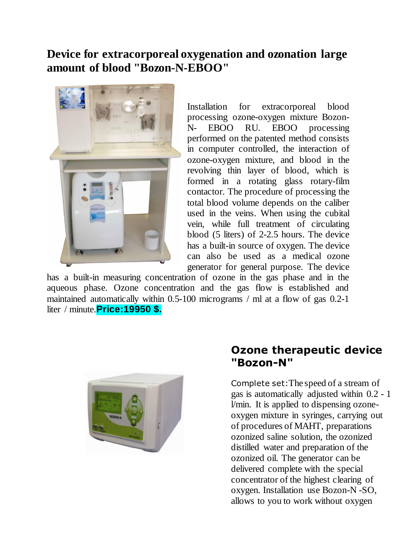### **Device for extracorporeal oxygenation and ozonation large amount of blood "Bozon-N-EBOO"**



Installation for extracorporeal blood processing ozone-oxygen mixture Bozon-N- EBOO RU. EBOO processing performed on the patented method consists in computer controlled, the interaction of ozone-oxygen mixture, and blood in the revolving thin layer of blood, which is formed in a rotating glass rotary-film contactor. The procedure of processing the total blood volume depends on the caliber used in the veins. When using the cubital vein, while full treatment of circulating blood (5 liters) of 2-2.5 hours. The device has a built-in source of oxygen. The device can also be used as a medical ozone generator for general purpose. The device

has a built-in measuring concentration of ozone in the gas phase and in the aqueous phase. Ozone concentration and the gas flow is established and maintained automatically within 0.5-100 micrograms / ml at a flow of gas 0.2-1 liter / minute.**Price:19950 \$.** 



### **Ozone therapeutic device "Bozon-N"**

Complete set:The speed of a stream of gas is automatically adjusted within 0.2 - 1 l/min. It is applied to dispensing ozoneoxygen mixture in syringes, carrying out of procedures of MAHT, preparations ozonized saline solution, the ozonized distilled water and preparation of the ozonized oil. The generator can be delivered complete with the special concentrator of the highest clearing of oxygen. Installation use Bozon-N -SO, allows to you to work without oxygen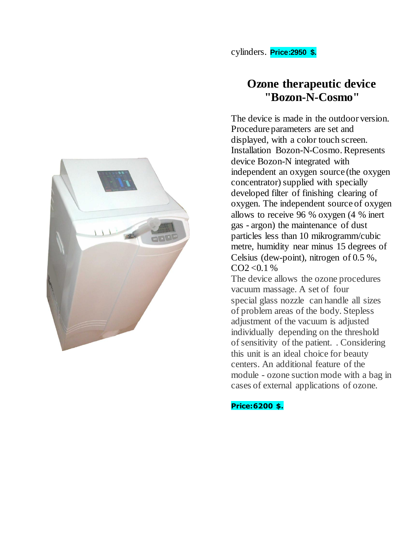

# **Ozone therapeutic device "Bozon-N-Cosmo"**

The device is made in the outdoor version. Procedure parameters are set and displayed, with a color touch screen. Installation Bozon-N-Cosmo. Represents device Bozon-N integrated with independent an oxygen source (the oxygen concentrator) supplied with specially developed filter of finishing clearing of oxygen. The independent source of oxygen allows to receive 96 % oxygen (4 % inert gas - argon) the maintenance of dust particles less than 10 mikrogramm/cubic metre, humidity near minus 15 degrees of Celsius (dew-point), nitrogen of 0.5 %,  $CO2 < 0.1 \%$ 

The device allows the ozone procedures vacuum massage. A set of four special glass nozzle can handle all sizes of problem areas of the body. Stepless adjustment of the vacuum is adjusted individually depending on the threshold ofsensitivity of the patient. . Considering this unit is an ideal choice for beauty centers. An additional feature of the module - ozone suction mode with a bag in cases of external applications of ozone.

**Price:6200 \$.**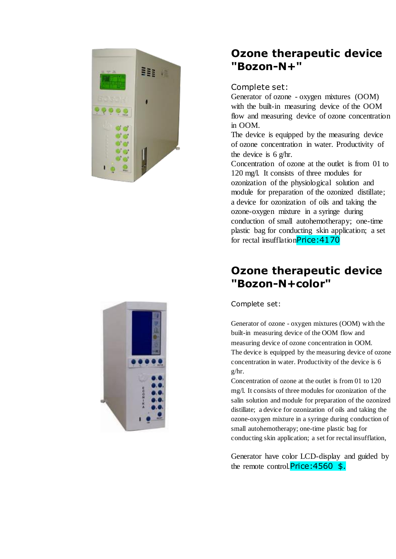

### **Ozone therapeutic device "Bozon-N+"**

### Complete set:

Generator of ozone - oxygen mixtures (OOM) with the built-in measuring device of the OOM flow and measuring device of ozone concentration in OOM.

The device is equipped by the measuring device of ozone concentration in water. Productivity of the device is 6 g/hr.

Concentration of ozone at the outlet is from 01 to 120 mg/l. It consists of three modules for ozonization of the physiological solution and module for preparation of the ozonized distillate; a device for ozonization of oils and taking the ozone-oxygen mixture in a syringe during conduction of small autohemotherapy; one-time plastic bag for conducting skin application; a set for rectal insufflationPrice: 4170

### **Ozone therapeutic device "Bozon-N+color"**

Complete set:

Generator of ozone - oxygen mixtures (OOM) with the built-in measuring device of the OOM flow and measuring device of ozone concentration in OOM. The device is equipped by the measuring device of ozone concentration in water. Productivity of the device is 6 g/hr.

Concentration of ozone at the outlet is from 01 to 120 mg/l. It consists of three modules for ozonization of the salin solution and module for preparation of the ozonized distillate; a device for ozonization of oils and taking the ozone-oxygen mixture in a syringe during conduction of small autohemotherapy; one-time plastic bag for conducting skin application; a set for rectal insufflation,

Generator have color LCD-display and guided by the remote control. Price: 4560 \$.

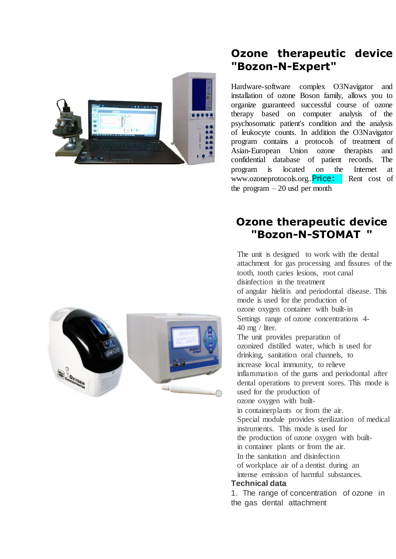

### **Ozone therapeutic device "Bozon-N-Expert"**

Hardware-software complex O3Navigator and installation of ozone Boson family, allows you to organize guaranteed successful course of ozone therapy based on computer analysis of the psychosomatic patient's condition and the analysis of leukocyte counts. In addition the O3Navigator program contains a protocols of treatment of Asian-European Union ozone therapists and confidential database of patient records. The program is located on the Internet at www.ozoneprotocols.org..**Price:** Rent cost of the program  $-20$  usd per month

### **Ozone therapeutic device "Bozon-N-STOMAT "**

The unit is designed to work with the dental attachment for gas processing and fissures of the tooth, tooth caries lesions, root canal disinfection in the treatment of angular hielitis and periodontal disease. This mode is used for the production of ozone oxygen container with built-in Settings range of ozone concentrations 4- 40 mg / liter. The unit provides preparation of ozonized distilled water, which is used for drinking, sanitation oral channels, to increase local immunity, to relieve inflammation of the gums and periodontal after dental operations to prevent sores. This mode is used for the production of ozone oxygen with builtin containerplants or from the air. Special module provides sterilization of medical instruments. This mode is used for the production of ozone oxygen with builtin container plants or from the air. In the sanitation and disinfection of workplace air of a dentist during an intense emission of harmful substances. **Technical data**

1. The range of concentration of ozone in the gas dental attachment

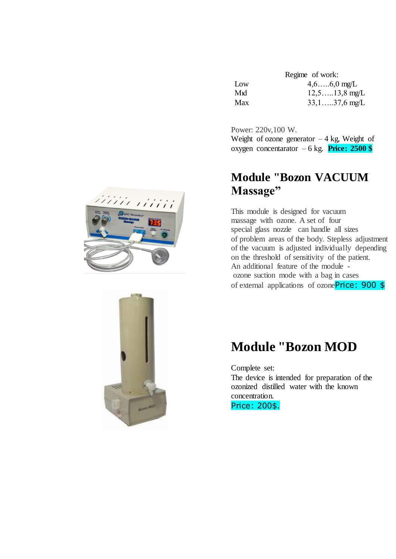|     | Regime of work:  |
|-----|------------------|
| Low | $4,6,6,0$ mg/L   |
| Mid | $12,5$ 13,8 mg/L |
| Max | $33,1,37,6$ mg/L |

Power: 220v,100 W. Weight of ozone generator  $-4$  kg, Weight of oxygen concentarator – 6 kg. **Price: 2500 \$**

# **Module "Bozon VACUUM Massage"**

This module is designed for vacuum massage with ozone. A set of four special glass nozzle can handle all sizes of problem areas of the body. Stepless adjustment of the vacuum is adjusted individually depending on the threshold of sensitivity of the patient. An additional feature of the module ozone suction mode with a bag in cases of external applications of ozonePrice: 900 \$

# **Module "Bozon MOD**

Complete set: The device is intended for preparation of the ozonized distilled water with the known concentration. Price: 200\$.



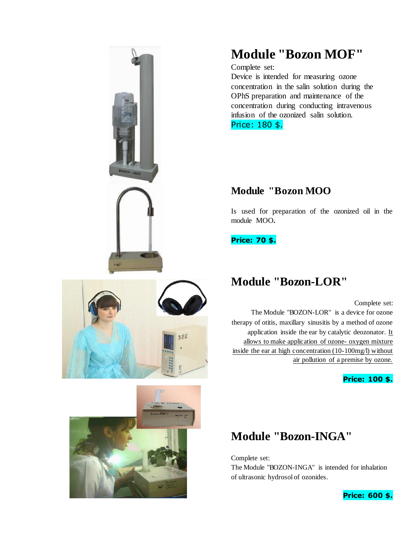

# 535



# **Module "Bozon MOF"**

Complete set:

Device is intended for measuring ozone concentration in the salin solution during the OPhS preparation and maintenance of the concentration during conducting intravenous infusion of the ozonized salin solution. Price: 180 \$.

# **Module "Bozon MOO**

Is used for preparation of the ozonized oil in the module MOO**.**

**Price: 70 \$.** 

# **Module "Bozon-LOR"**

Complete set:

The Module "BOZON-LOR" is a device for ozone therapy of otitis, maxillary sinusitis by a method of ozone application inside the ear by catalytic deozonator. It allows to make application of ozone- oxygen mixture inside the ear at high concentration (10-100mg/l) without air pollution of a premise by ozone.

**Price: 100 \$.**

# **Module "Bozon-INGA"**

Complete set:

The Module "BOZON-INGA" is intended for inhalation of ultrasonic hydrosol of ozonides.

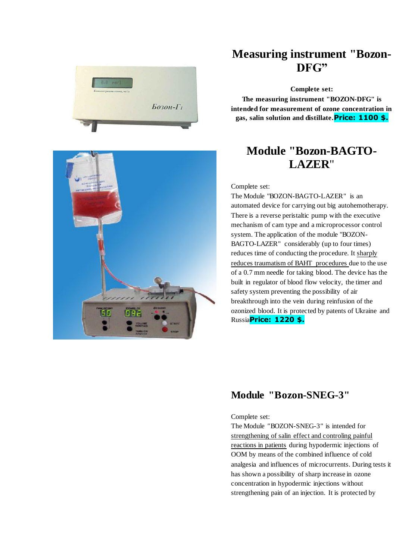



### **Measuring instrument "Bozon-DFG"**

**Complete set:**

**The measuring instrument "BOZON-DFG" is intended for measurement of ozone concentration in gas, salin solution and distillate.Price: 1100 \$.**

# **Module "Bozon-BAGTO-LAZER**"

Complete set:

The Module "BOZON-BAGTO-LAZER" is an automated device for carrying out big autohemotherapy. There is a reverse peristaltic pump with the executive mechanism of cam type and a microprocessor control system. The application of the module "BOZON-BAGTO-LAZER" considerably (up to four times) reduces time of conducting the procedure. It sharply reduces traumatism of BAHT procedures due to the use of a 0.7 mm needle for taking blood. The device has the built in regulator of blood flow velocity, the timer and safety system preventing the possibility of air breakthrough into the vein during reinfusion of the ozonized blood. It is protected by patents of Ukraine and Russia**Price: 1220 \$.** 

### **Module "Bozon-SNEG-3"**

### Complete set:

The Module *"*BOZON-SNEG-3*"* is intended for strengthening of salin effect and controling painful reactions in patients during hypodermic injections of OOM by means of the combined influence of cold analgesia and influences of microcurrents. During tests it has shown a possibility of sharp increase in ozone concentration in hypodermic injections without strengthening pain of an injection. It is protected by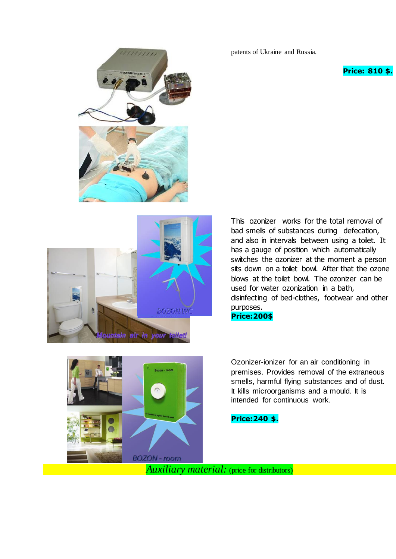patents of Ukraine and Russia.

### **Price: 810 \$.**





This ozonizer works for the total removal of bad smells of substances during defecation, and also in intervals between using a toilet. It has a gauge of position which automatically switches the ozonizer at the moment a person sits down on a toilet bowl. After that the ozone blows at the toilet bowl. The ozonizer can be used for water ozonization in a bath, disinfecting of bed-clothes, footwear and other purposes. **Price:200\$**



Ozonizer-ionizer for an air conditioning in premises. Provides removal of the extraneous smells, harmful flying substances and of dust. It kills microorganisms and a mould. It is intended for continuous work.

### **Price:240 \$.**

*Auxiliary material:* (price for distributors)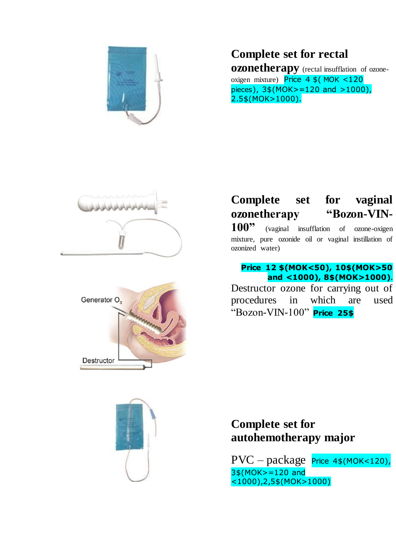

# **Complete set for rectal**

**ozonetherapy** (rectal insufflation of ozoneoxigen mixture) Price  $4 \frac{1}{2}$  MOK <120 pieces), 3\$(MOK>=120 and >1000), 2.5\$(MOK>1000).





# **Complete set for vaginal ozonetherapy "Bozon-VIN-**

100<sup>"</sup> (vaginal insufflation of ozone-oxigen mixture, pure ozonide oil or vaginal instillation of ozonized water)

### **Price 12 \$(MOK<50), 10\$(MOK>50 and <1000), 8\$(MOK>1000).**

Destructor ozone for carrying out of procedures in which are used "Bozon-VIN-100" **Price 25\$**



# **Complete set for autohemotherapy major**

PVC – package Price 4\$(MOK<120), 3\$(MOK>=120 and <1000),2,5\$(MOK>1000)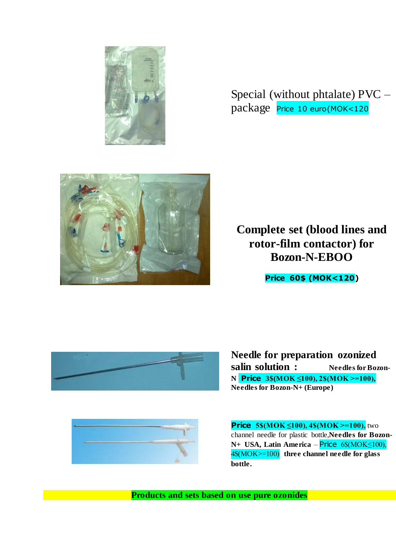

Special (without phtalate) PVC – package Price 10 euro(MOK<120



**Complete set (blood lines and rotor-film contactor) for Bozon-N-EBOO**

**Price 60\$ (MOK<120)**



**Needle for preparation ozonized salin solution : Needles for Bozon-N Price 3\$(MOK ≤100), 2\$(MOK >=100), Needles for Bozon-N+ (Europe)** 



**Price 5\$(MOK ≤100), 4\$(MOK >=100),** two channel needle for plastic bottle,**Needles for Bozon-N+ USA, Latin America** – Price 6\$(MOK≤100), 4\$(MOK>=100) **three channel needle for glass bottle.**

**Products and sets based on use pure ozonides**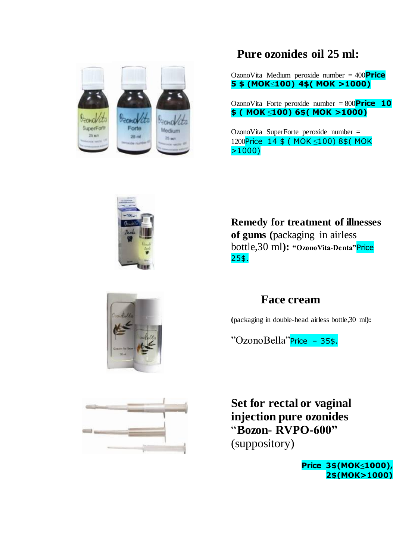

# **Pure ozonides oil 25 ml:**

OzonoVita Medium peroxide number = 400**Price 5 \$ (MOK**≤**100) 4\$( MOK >1000)**

OzonoVita Forte peroxide number = 800**Price 10 \$ ( MOK** ≤**100) 6\$( MOK >1000)**

OzonoVita SuperForte peroxide number = 1200Price 14 \$ ( MOK ≤100) 8\$ ( MOK >1000)

**Remedy for treatment of illnesses of gums (**packaging in airless bottle,30 ml**): "OzonoVita-Denta"**Price 25\$.





### **Face cream**

**(**packaging in double-head airless bottle,30 ml**):**

"OzonoBella"Price – 35\$.

**Set for rectal or vaginal injection pure ozonides** "**Bozon**- **RVPO-600"** (suppository)

> **Price 3\$(MOK≤1000), 2\$(MOK>1000)**